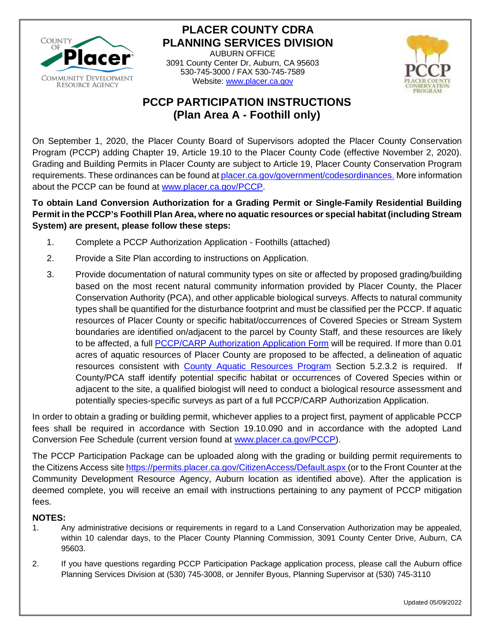

# **PLACER COUNTY CDRA PLANNING SERVICES DIVISION**

AUBURN OFFICE 3091 County Center Dr, Auburn, CA 95603 530-745-3000 / FAX 530-745-7589 Website: [www.placer.ca.gov](http://www.placer.ca.gov/)



# **PCCP PARTICIPATION INSTRUCTIONS (Plan Area A - Foothill only)**

On September 1, 2020, the Placer County Board of Supervisors adopted the Placer County Conservation Program (PCCP) adding Chapter 19, Article 19.10 to the Placer County Code (effective November 2, 2020). Grading and Building Permits in Placer County are subject to Article 19, Placer County Conservation Program requirements. These ordinances can be found at [placer.ca.gov/government/codesordinances.](http://qcode.us/codes/placercounty) More information about the PCCP can be found at [www.placer.ca.gov/PCCP.](http://www.placer.ca.gov/PCCP)

### **To obtain Land Conversion Authorization for a Grading Permit or Single-Family Residential Building Permit in the PCCP's Foothill Plan Area, where no aquatic resources or special habitat (including Stream System) are present, please follow these steps:**

- 1. Complete a PCCP Authorization Application Foothills (attached)
- 2. Provide a Site Plan according to instructions on Application.
- 3. Provide documentation of natural community types on site or affected by proposed grading/building based on the most recent natural community information provided by Placer County, the Placer Conservation Authority (PCA), and other applicable biological surveys. Affects to natural community types shall be quantified for the disturbance footprint and must be classified per the PCCP. If aquatic resources of Placer County or specific habitat/occurrences of Covered Species or Stream System boundaries are identified on/adjacent to the parcel by County Staff, and these resources are likely to be affected, a full **PCCP/CARP** Authorization Application Form will be required. If more than 0.01 acres of aquatic resources of Placer County are proposed to be affected, a delineation of aquatic resources consistent with [County Aquatic Resources Program](https://www.placer.ca.gov/DocumentCenter/View/51245/CARP-Final-2020pdf) Section 5.2.3.2 is required. If County/PCA staff identify potential specific habitat or occurrences of Covered Species within or adjacent to the site, a qualified biologist will need to conduct a biological resource assessment and potentially species-specific surveys as part of a full PCCP/CARP Authorization Application.

In order to obtain a grading or building permit, whichever applies to a project first, payment of applicable PCCP fees shall be required in accordance with Section 19.10.090 and in accordance with the adopted Land Conversion Fee Schedule (current version found at [www.placer.ca.gov/PCCP\)](www.placer.ca.gov/PCCP).

The PCCP Participation Package can be uploaded along with the grading or building permit requirements to the Citizens Access site<https://permits.placer.ca.gov/CitizenAccess/Default.aspx> (or to the Front Counter at the Community Development Resource Agency, Auburn location as identified above). After the application is deemed complete, you will receive an email with instructions pertaining to any payment of PCCP mitigation fees.

### **NOTES:**

- 1. Any administrative decisions or requirements in regard to a Land Conservation Authorization may be appealed, within 10 calendar days, to the Placer County Planning Commission, 3091 County Center Drive, Auburn, CA 95603.
- 2. If you have questions regarding PCCP Participation Package application process, please call the Auburn office Planning Services Division at (530) 745-3008, or Jennifer Byous, Planning Supervisor at (530) 745-3110

Updated 05/09/2022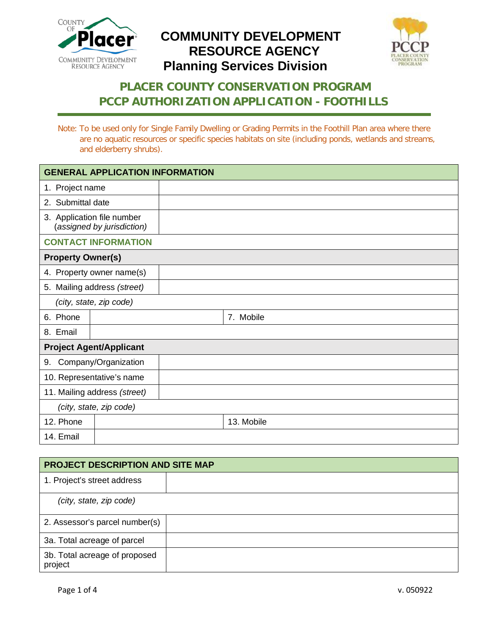



# **PLACER COUNTY CONSERVATION PROGRAM PCCP AUTHORIZATION APPLICATION - FOOTHILLS**

Note: To be used only for Single Family Dwelling or Grading Permits in the Foothill Plan area where there are no aquatic resources or specific species habitats on site (including ponds, wetlands and streams, and elderberry shrubs).

| <b>GENERAL APPLICATION INFORMATION</b>                   |  |  |            |  |
|----------------------------------------------------------|--|--|------------|--|
| 1. Project name                                          |  |  |            |  |
| 2. Submittal date                                        |  |  |            |  |
| 3. Application file number<br>(assigned by jurisdiction) |  |  |            |  |
| <b>CONTACT INFORMATION</b>                               |  |  |            |  |
| <b>Property Owner(s)</b>                                 |  |  |            |  |
| 4. Property owner name(s)                                |  |  |            |  |
| 5. Mailing address (street)                              |  |  |            |  |
| (city, state, zip code)                                  |  |  |            |  |
| 6. Phone                                                 |  |  | 7. Mobile  |  |
| 8. Email                                                 |  |  |            |  |
| <b>Project Agent/Applicant</b>                           |  |  |            |  |
| Company/Organization<br>9.                               |  |  |            |  |
| 10. Representative's name                                |  |  |            |  |
| 11. Mailing address (street)                             |  |  |            |  |
| (city, state, zip code)                                  |  |  |            |  |
| 12. Phone                                                |  |  | 13. Mobile |  |
| 14. Email                                                |  |  |            |  |

| <b>PROJECT DESCRIPTION AND SITE MAP</b>  |  |  |
|------------------------------------------|--|--|
| 1. Project's street address              |  |  |
| (city, state, zip code)                  |  |  |
| 2. Assessor's parcel number(s)           |  |  |
| 3a. Total acreage of parcel              |  |  |
| 3b. Total acreage of proposed<br>project |  |  |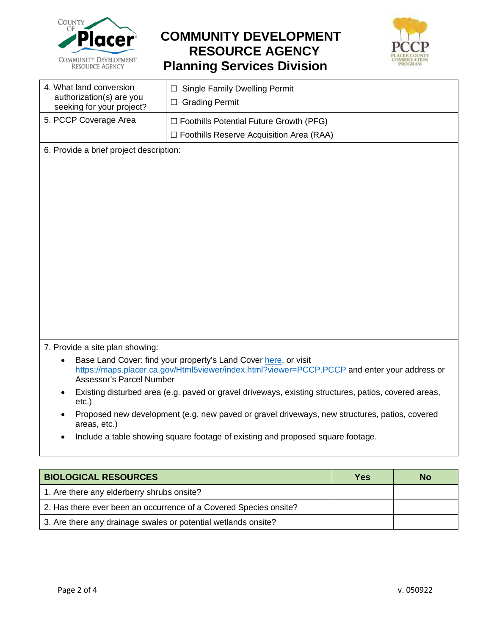



| 4. What land conversion<br>authorization(s) are you<br>seeking for your project? | $\Box$ Single Family Dwelling Permit<br>$\Box$ Grading Permit                                     |  |
|----------------------------------------------------------------------------------|---------------------------------------------------------------------------------------------------|--|
| 5. PCCP Coverage Area                                                            | $\Box$ Foothills Potential Future Growth (PFG)<br>$\Box$ Foothills Reserve Acquisition Area (RAA) |  |

6. Provide a brief project description:

7. Provide a site plan showing:

- Base Land Cover: find your property's Land Cover [here,](https://maps.placer.ca.gov/Html5viewer/index.html?viewer=PCCP.PCCP) or visit <https://maps.placer.ca.gov/Html5viewer/index.html?viewer=PCCP.PCCP> and enter your address or Assessor's Parcel Number
- Existing disturbed area (e.g. paved or gravel driveways, existing structures, patios, covered areas, etc.)
- Proposed new development (e.g. new paved or gravel driveways, new structures, patios, covered areas, etc.)
- Include a table showing square footage of existing and proposed square footage.

| <b>BIOLOGICAL RESOURCES</b>                                       | Yes | <b>No</b> |
|-------------------------------------------------------------------|-----|-----------|
| 1. Are there any elderberry shrubs onsite?                        |     |           |
| 2. Has there ever been an occurrence of a Covered Species onsite? |     |           |
| 3. Are there any drainage swales or potential wetlands onsite?    |     |           |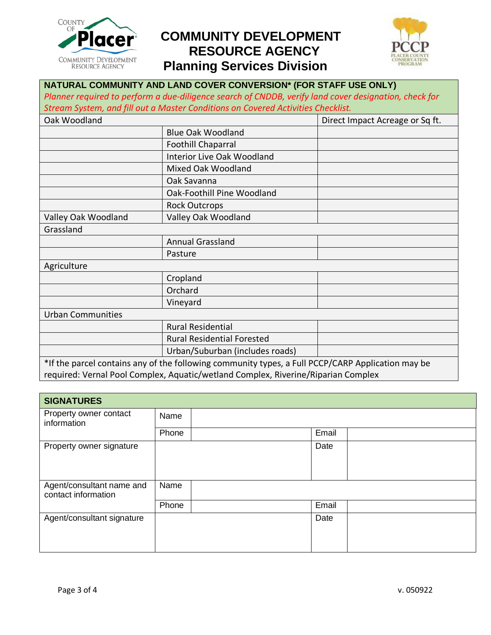



### **NATURAL COMMUNITY AND LAND COVER CONVERSION\* (FOR STAFF USE ONLY)** *Planner required to perform a due-diligence search of CNDDB, verify land cover designation, check for Stream System, and fill out a Master Conditions on Covered Activities Checklist.* Oak Woodland Direct Impact Acreage or Sq ft. Blue Oak Woodland Foothill Chaparral Interior Live Oak Woodland Mixed Oak Woodland Oak Savanna Oak-Foothill Pine Woodland Rock Outcrops Valley Oak Woodland Valley Oak Woodland Grassland Annual Grassland Pasture Agriculture Cropland Orchard Vineyard Urban Communities Rural Residential Rural Residential Forested Urban/Suburban (includes roads) \*If the parcel contains any of the following community types, a Full PCCP/CARP Application may be

required: Vernal Pool Complex, Aquatic/wetland Complex, Riverine/Riparian Complex

| <b>SIGNATURES</b>                                |       |  |       |  |
|--------------------------------------------------|-------|--|-------|--|
| Property owner contact<br>information            | Name  |  |       |  |
|                                                  | Phone |  | Email |  |
| Property owner signature                         |       |  | Date  |  |
| Agent/consultant name and<br>contact information | Name  |  |       |  |
|                                                  | Phone |  | Email |  |
| Agent/consultant signature                       |       |  | Date  |  |